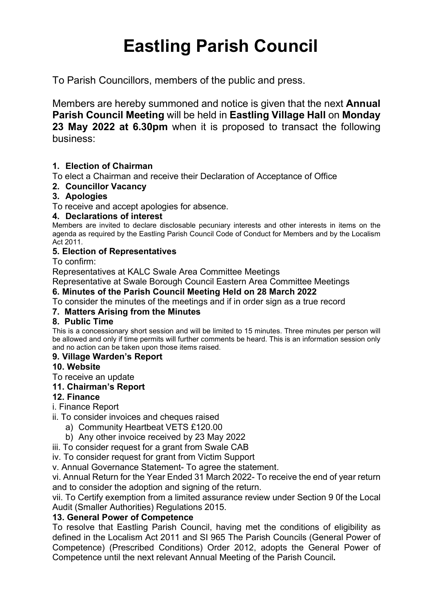# Eastling Parish Council

To Parish Councillors, members of the public and press.

Members are hereby summoned and notice is given that the next Annual Parish Council Meeting will be held in Eastling Village Hall on Monday 23 May 2022 at 6.30pm when it is proposed to transact the following business:

## 1. Election of Chairman

To elect a Chairman and receive their Declaration of Acceptance of Office

## 2. Councillor Vacancy

## 3. Apologies

To receive and accept apologies for absence.

#### 4. Declarations of interest

Members are invited to declare disclosable pecuniary interests and other interests in items on the agenda as required by the Eastling Parish Council Code of Conduct for Members and by the Localism Act 2011.

## 5. Election of Representatives

To confirm:

Representatives at KALC Swale Area Committee Meetings

Representative at Swale Borough Council Eastern Area Committee Meetings

## 6. Minutes of the Parish Council Meeting Held on 28 March 2022

To consider the minutes of the meetings and if in order sign as a true record

## 7. Matters Arising from the Minutes

## 8. Public Time

This is a concessionary short session and will be limited to 15 minutes. Three minutes per person will be allowed and only if time permits will further comments be heard. This is an information session only and no action can be taken upon those items raised.

## 9. Village Warden's Report

## 10. Website

To receive an update

## 11. Chairman's Report

## 12. Finance

i. Finance Report

- ii. To consider invoices and cheques raised
	- a) Community Heartbeat VETS £120.00
	- b) Any other invoice received by 23 May 2022
- iii. To consider request for a grant from Swale CAB

iv. To consider request for grant from Victim Support

v. Annual Governance Statement- To agree the statement.

vi. Annual Return for the Year Ended 31 March 2022- To receive the end of year return and to consider the adoption and signing of the return.

vii. To Certify exemption from a limited assurance review under Section 9 0f the Local Audit (Smaller Authorities) Regulations 2015.

#### 13. General Power of Competence

To resolve that Eastling Parish Council, having met the conditions of eligibility as defined in the Localism Act 2011 and SI 965 The Parish Councils (General Power of Competence) (Prescribed Conditions) Order 2012, adopts the General Power of Competence until the next relevant Annual Meeting of the Parish Council.